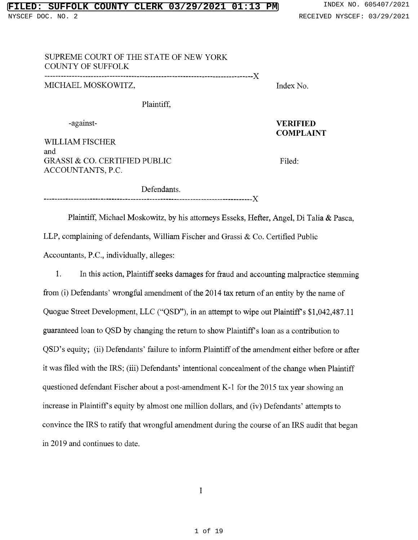## SUPREME COURT OF THE STATE OF NEW YORK COUNTY OF SUFFOLK

--------------------- --- --------------------------------X MICHAEL MOSKOWITZ, Santa Control of the Moskowitz of the Moskowitz of the Moskowitz of the Moskowitz of the Mo

Plaintiff,

WILLIAM FISCHER and GRASSI & CO. CERTIFIED PUBLIC Filed: ACCOUNTANTS, P.C.

-against- VERIFIED COMPLAINT

Defendants. --------- -------------------------------- ----------------X

Plaintiff, Michael Moskowitz, by his attorneys Esseks, Hefter, Angel, Di Talia & Pasca, LLP, complaining of defendants, William Fischer and Grassi & Co. Certified Public Accountants, P.C., individually, alleges:

1. In this action, Plaintiff seeks damages for fraud and accounting malpractice stemming from (i) Defendants' wrongful amendment of the 2014 tax return of an entity by the name of Quogue Street Development, LLC ("QSD"), in an attempt to wipe out Plaintiff's \$1,042,487.11 guaranteed loan to QSD by changing the return to show Plaintiff's loan as <sup>a</sup> contribution to QSD's equity; (ii) Defendants' failure to inform Plaintiff of the amendment either before or after it was filed with the IRS; (iii) Defendants' intentional concealment of the change when Plain questioned defendant Fischer about <sup>a</sup> post-amendment K-1 for the <sup>2015</sup> tax year showing an increase in Plaintiff's equity by almost one million dollars, and (iv) Defendants' attempts to convince the IRS to ratify that wrongful amendment during the course of an IRS audit that began in 2019 and continues to date.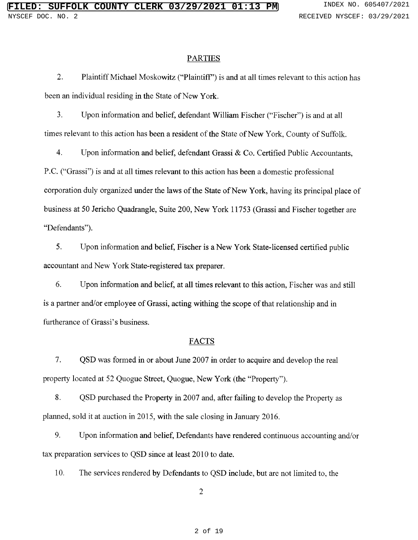#### **PARTIES**

2. Plaintiff Michael Moskowitz ("Plaintiff") is and at all times relevant to this action has been an individual residing in the State of New York.

3. Upon information and belief, defendant William Fischer ("Fischer") is and at all times relevant to this action has been <sup>a</sup> resident of the State of New York, County of Suffolk.

4. Upon information and belief, defendant Grassi & Co. Certified Public Accountants, P.C. ("Grassi") is and at all times relevant to this action has been a domestic professional corporation duly organized under the laws of the State of New York, having its principal place of business at 50 Jericho Quadrangle, Suite 200, New York 11753 (Grassi and Fischer together are "Defendants").

5. Upon information and belief, Fischer is a New York State-licensed certified public accountant and New York State-registered tax preparer.

6. Upon information and belief, at all times relevant to this action, Fischer was and still is <sup>a</sup> partner and/or employee of Grassi, acting withing the scope of that relationship and in furtherance of Grassi's business.

### FACTS

7. QSD was formed in or about June <sup>2007</sup> in order to acquire and develop the real property located at 52 Quogue Street, Quogue, New York (the "Property").

8. QSD purchased the Property in <sup>2007</sup> and, after failing to develop the Property as planned, sold it at auction in 2015, with the sale closing in January 2016.

9. Upon information and belief, Defendants have rendered continuous accounting and/or tax preparation services to QSD since at least 2010 to date.

10. The services rendered by Defendants to QSD include, but are not limited to, the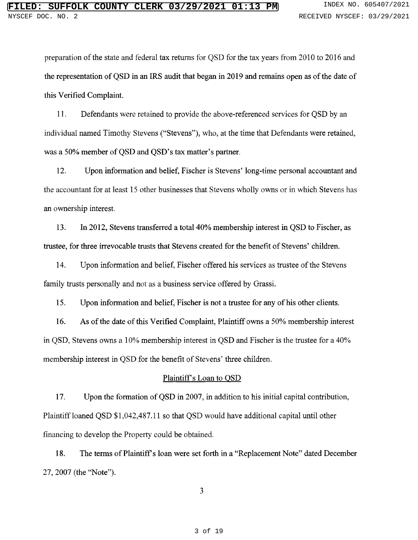preparation of the state and federal tax returns for QSD for the tax years from 2010 to 2016 and the representation of QSD in an IRS audit that began in 2019 and remains open as of the date of this Verified Complaint.

11. Defendants were retained to provide the above-referenced services for QSD by an individual named Timothy Stevens ("Stevens"), who, at the time that Defendants were retained, was a 50% member of QSD and QSD's tax matter's partner.

12. Upon information and belief, Fischer is Stevens' long-time personal accountant and the accountant for at least 15 other businesses that Stevens wholly owns or in which Stevens has an ownership interest.

13. In 2012, Stevens transferred <sup>a</sup> total 40% membership interest in QSD to Fischer, as trustee, for three irrevocable trusts that Stevens created for the benefit of Stevens' childr

14. Upon information and belief, Fischer offered his services as trustee of the Stevens family trusts personally and not as a business service offered by Grassi.

15. Upon information and belief, Fischer is not a trustee for any of his other clients.

16. As of the date of this Verified Complaint, Plaintiff owns a 50% membership interest in QSD, Stevens owns <sup>a</sup> 10% membership interest in QSD and Fischer is the trustee for <sup>a</sup> 40% membership interest in QSD for the benefit of Stevens' three children.

#### Plaintiff's Loan to QSD

17. Upon the formation of QSD in 2007, in addition to his initial capital contribution, Plaintiff loaned QSD \$1,042,487.11 so that QSD would have additional capital until other financing to develop the Property could be obtained.

18. The terms of Plaintiff's loan were set forth in a "Replacement Note" dated Decem 27, 2007 (the "Note").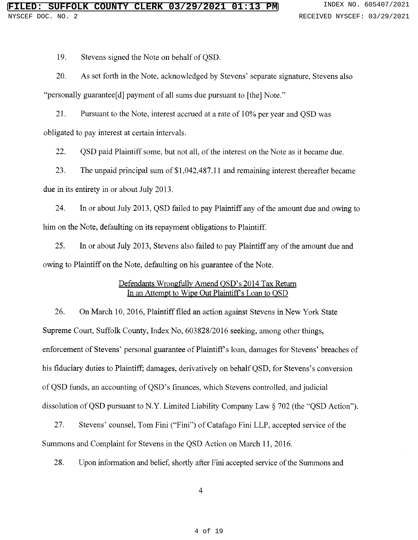19. Stevens signed the Note on behalf of QSD.

20. As set forth in the Note, acknowledged by Stevens' separate signature, Stevens als "personally guarantee[d] payment of all sums due pursuant to [the] Note."

21. Pursuant to the Note, interest accrued at a rate of 10% per year and QSD was obligated to pay interest at certain intervals.

22. QSD paid Plaintiff some, but not all, of the interest on the Note as it became due.

23. The unpaid principal sum of \$1,042,487.11 and remaining interest thereafter became due in its entirety in or about July 2013.

24. In or about July 2013, QSD failed to pay Plaintiff any of the amount due and owing to him on the Note, defaulting on its repayment obligations to Plaintiff.

25. In or about July 2013, Stevens also failed to pay Plaintiff any of the amount due and owing to Plaintiff on the Note, defaulting on his guarantee of the Note.

## Defendants Wrongfully Amend OSD's 2014 Tax Return In an Attempt to Wipe Out Plaintiff's Loan to QSD

26. On March 10, 2016, Plaintiff filed an action against Stevens in New York State Supreme Court, Suffolk County, Index No, 603828/2016 seeking, among other things, enforcement of Stevens' personal guarantee of Plaintiff's loan, damages for Stevens' breaches o his fiduciary duties to Plaintiff; damages, derivatively on behalf QSD, for Stevens's conversion of QSD funds, an accounting of QSD's finances, which Stevens controlled, and judicial dissolution of QSD pursuant to N.Y. Limited Liability Company Law  $\S~702$  (the "QSD Actio

27. Stevens' counsel, Tom Fini ("Fini") of Catafago Fini LLP, accepted service of the Summons and Complaint for Stevens in the QSD Action on March 11, 2016.

28. Upon information and belief, shortly after Fini accepted service of the Summons and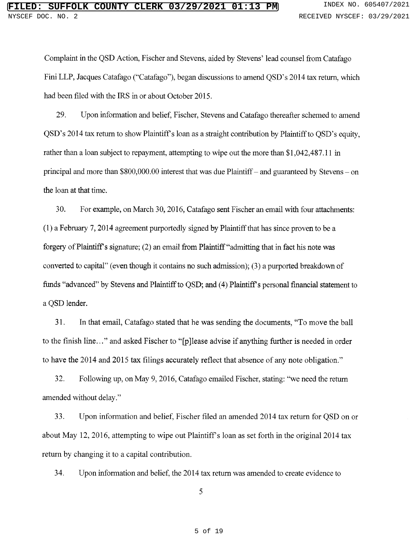Complaint in the QSD Action, Fischer and Stevens, aided by Stevens' lead counsel from Catafa Fini LLP, Jacques Catafago ("Catafago"), began discussions to amend QSD's 2014 tax return, which had been filed with the IRS in or about October 2015.

29. Upon information and belief, Fischer, Stevens and Catafago thereafter schemed to amend QSD's <sup>2014</sup> tax retum to show Plaintiff <sup>s</sup> loan as <sup>a</sup> straight contribution by Plaintiff to QSD's equity, rather than a loan subject to repayment, attempting to wipe out the more than \$1,042,487.11 in principal and more than \$800,000.00 interest that was due Plaintiff – and guaranteed by Stevens – on the loan at that time.

30. For example, on March 30, 2016, Catafago sent Fischer an email with four attachments: (1) a February 7, 2014 agreement purportedly signed by Plaintiff that has since proven to be a forgery of Plaintiff s signature; (2) an email from Plaintiff "admitting that in fact his note was converted to capital" (even though it contains no such admission); (3) a purported breakdown of funds "advanced" by Stevens and Plaintiff to QSD; and (4) Plaintiff's personal financial statement to a QSD lender.

31. In that email, Catafago stated that he was sending the documents, "To move the ball to the finish line..." and asked Fischer to "[p]lease advise if anything further is needed in orde to have the 2014 and 2015 tax filings accurately reflect that absence of any note obligation.

32. Following up, on May 9, 2016, Catafago emailed Fischer, stating: "we need the retum amended without delay

33. Upon information and belief, Fischer filed an amended 2014 tax return for QSD on or about May 12, 2016, attempting to wipe out Plaintiff s loan as set forth in the original 2014 tax return by changing it to a capital contribution.

34. Upon information and belief, the 2014 tax return was amended to create evidence to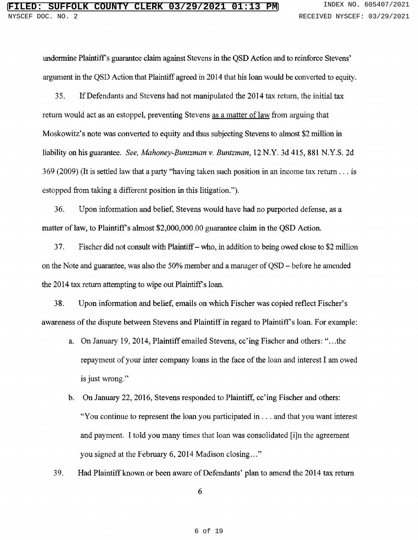undermine Plaintiff's guarantee claim against Stevens in the QSD Action and to reinforce Stevens' argument in the QSD Action that Plaintiff agreed in 2014 that his loan would be converted to equity.

35. If Defendants and Stevens had not manipulated the 2014 tax return, the initial tax return would act as an estoppel, preventing Stevens as a matter of law from arguing that Moskowitz's note was converted to equity and thus subjecting Stevens to almost \$2 million in liability on his guarantee. See, Mahoney-Buntzman v. Buntzman, 12 N.Y. 3d 415, 881 N.Y.S. 2d 369 (2009) (It is settled law that a party "having taken such position in an income tax return . . . is estopped from taking a different position in this litigation.").

36. Upon information and belief, Stevens would have had no purported defense, as a matter of law, to Plaintiff's almost \$2,000,000.00 guarantee claim in the QSD Action.

37.  $\quad$  Fischer did not consult with Plaintiff – who, in addition to being owed close to \$2 milli on the Note and guarantee, was also the 50% member and <sup>a</sup> manager of QSD - before he amended the 2014 tax return attempting to wipe out Plaintiff's loan.

38. Upon information and belief, emails on which Fischer was copied reflect Fischer's awareness of the dispute between Stevens and Plaintiff in regard to Plaintiff's loan. For example:

- a. On January 19, 2014, Plaintiff emailed Stevens, cc'ing Fischer and others: "...the repayment of your inter company loans in the face of the loan and interest I am owed is just wron
- b. On January 22, 2016, Stevens responded to Plaintiff, cc'ing Fischer and others: "You continue to represent the loan you participated in . . . and that you want interest and payment. I told you many times that loan was consolidated [i]n the agreement you signed at the February 6, 2014 Madison closing
- 39. Had Plaintiff known or been aware of Defendants' plan to amend the 2014 tax return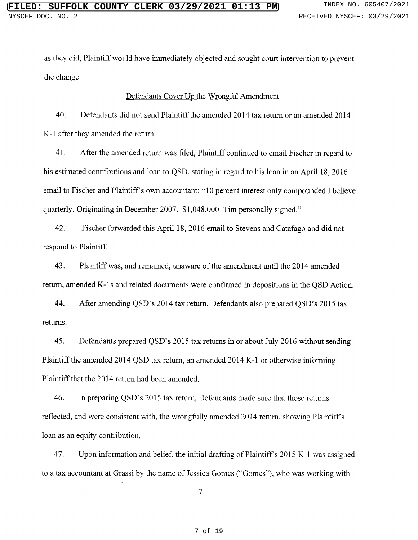as they did, Plaintiff would have immediately objected and sought court intervention to prevent the change.

### Defendants Cover Up the Wrongful Amendment

40. Defendants did not send Plaintiff the amended 2014 tax return or an amended 2014 K-1 after they amended the return.

41. After the amended return was filed, Plaintiff continued to email Fischer in regard to his estimated contributions and loan to QSD, stating in regard to his loan in an April 18, <sup>2016</sup> email to Fischer and Plaintiff's own accountant: "10 percent interest only compounded <sup>I</sup> believe quarterly. Originating in December 2007. \$1,048,000 Tim personally signe

42. Fischer forwarded this April 18, 2016 email to Stevens and Catafago and did not respond to Plaintiff.

43. Plaintiff was, and remained, unaware of the amendment until the 2014 amended return, amended K-1s and related documents were confirmed in depositions in the QSD Action.

44. After amending QSD's 2014 tax return, Defendants also prepared QSD's 2015 tax returns.

45. Defendants prepared QSD's <sup>2015</sup> tax returns in or about July <sup>2016</sup> without sending Plaintiff the amended <sup>2014</sup> QSD tax return, an amended <sup>2014</sup> K-1 or otherwise informing Plaintiff that the 2014 return had been amended.

46. In preparing QSD's 2015 tax return, Defendants made sure that those returns reflected, and were consistent with, the wrongfully amended 2014 return, showing Plaintiff's loan as an equity contribution,

47. Upon information and belief, the initial drafting of Plaintiff's 2015 K-1 was assigned to <sup>a</sup> tax accountant at Grassi by the name of Jessica Gomes ("Gomes"), who was working with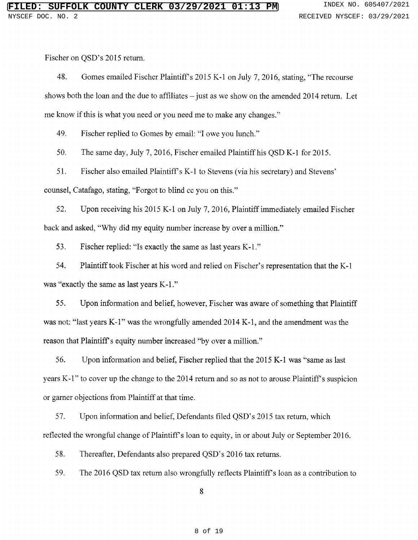Fischer on QSD's 2015 return.

48. Gomes emailed Fischer Plaintiff's 2015 K-1 on July 7, 2016, stating, "The recourse shows both the loan and the due to affiliates  $-$  just as we show on the amended 2014 return. Let me know if this is what you need or you need me to make any change

49. Fischer replied to Gomes by email: "I owe you lunch

50. The same day, July 7, 2016, Fischer emailed Plaintiff his QSD K-1 for 2015.

51. Fischer also emailed Plaintiff's K-1 to Stevens (via his secretary) and Steve counsel, Catafago, stating, "Forgot to blind cc you on this

52. Upon receiving his <sup>2015</sup> K-1 on July 7, 2016, Plaintiff immediately emailed Fischer back and asked, "Why did my equity number increase by over a million

53. Fischer replied: "Is exactly the same as last years K-1

54. Plaintiff took Fischer at his word and relied on Fischer's representation that the K-1 was "exactly the same as last years K-1

55. Upon information and belief, however, Fischer was aware of something that Plaintiff was not: "last years K-1" was the wrongfully amended 2014 K-1, and the amendment was the reason that Plaintiff's equity number increased "by over a million

56. Upon information and belief, Fischer replied that the 2015 K-1 was "same as last years K-1" to cover up the change to the 2014 return and so as not to arouse Plaintiff's suspic or garner objections from Plaintiff at that time.

57. Upon information and belief, Defendants filed QSD's 2015 tax return, which reflected the wrongful change of Plaintiff's loan to equity, in or about July or September 2016.

58. Thereafter, Defendants also prepared QSD's 2016 tax returns.

59. The <sup>2016</sup> QSD tax return also wrongfully reflects Plaintiff's loan as <sup>a</sup> contribution to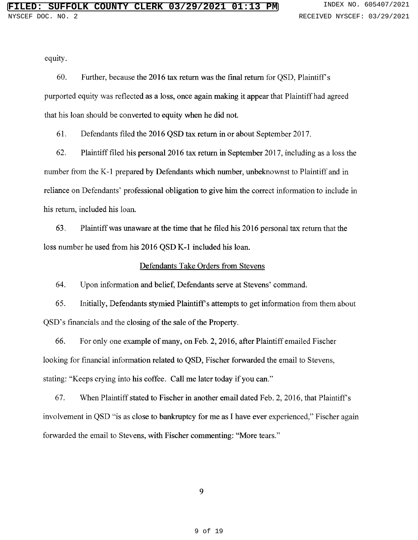equity.

60. Further, because the 2016 tax return was the final return for QSD, Plaintiff's purported equity was reflected as <sup>a</sup> loss, once again making it appear that Plaintiff had agreed that his loan should be converted to equity when he did not.

61. Defendants filed the 2016 QSD tax return in or about September 2017.

62. Plaintiff filed his personal <sup>2016</sup> tax return in September 2017, including as <sup>a</sup> loss the number from the K-1 prepared by Defendants which number, unbeknownst to Plaintiff and in reliance on Defendants' professional obligation to give him the correct information to include in his return, included his loan.

63. Plaintiff was unaware at the time that he filed his 2016 personal tax return that the loss number he used from his 2016 QSD K-1 included his loan.

### Defendants Take Orders from Stevens

64. Upon information and belief, Defendants serve at Stevens' comma

65. Initially, Defendants stymied Plaintiff's attempts to get information from them about QSD's financials and the closing of the sale of the Property.

66. For only one example of many, on Feb. 2, 2016, after Plaintiff emailed Fischer looking for financial information related to QSD, Fischer forwarded the email to Stevens, stating: "Keeps crying into his coffee. Call me later today if you can

67. When Plaintiff stated to Fischer in another email dated Feb. 2, 2016, that Plaintiff's involvement in QSD "is as close to bankruptcy for me as I have ever experienced," Fischer aga forwarded the email to Stevens, with Fischer commenting: "More tears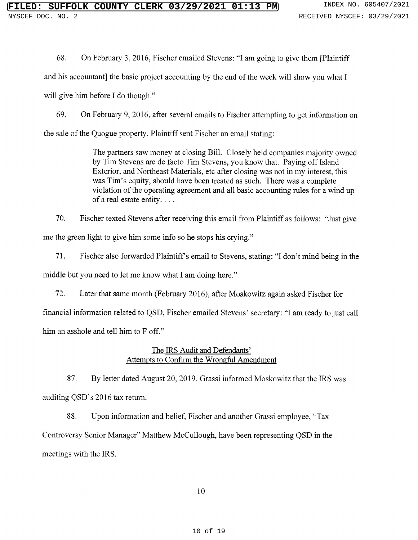68. On February 3, 2016, Fischer emailed Stevens: "I am going to give them [Plaintiff

and his accountant] the basic project accounting by the end of the week will show you what <sup>I</sup>

will give him before I do thought

69. On February 9, 2016, after several emails to Fischer attempting to get information on the sale of the Quogue property, Plaintiff sent Fischer an email stating:

> The partners saw money at closing Bill. Closely held companies majority owned by Tim Stevens are de facto Tim Stevens, you know that. Paying off Island Exterior, and Northeast Materials, etc after closing was not in my interest, this was Tim's equity, should have been treated as such. There was a complete violation of the operating agreement and all basic accounting rules for <sup>a</sup> wind up of a real estate entity. . . .

70. Fischer texted Stevens after receiving this email from Plaintiff as follows: "Just give me the green light to give him some info so he stops his cryin

71. Fischer also forwarded Plaintiff's email to Stevens, stating: "I don't mind being in the middle but you need to let me know what I am doing here.

72. Later that same month (February 2016), after Moskowitz again asked Fischer for financial information related to QSD, Fischer emailed Stevens' secretary: "I am ready to just call him an <mark>asshole and tell him t</mark>o F off

# The IRS Audit and Defenda Attempts to Confirm the Wrongful Amendment

87. By letter dated August 20, 2019, Grassi informed Moskowitz that the IRS was auditing QSD's 2016 tax return.

88. Upon information and belief, Fischer and another Grassi employee, "Tax Controversy Senior Manager" Matthew McCullough, have been representing QSD in th meetings with the IRS.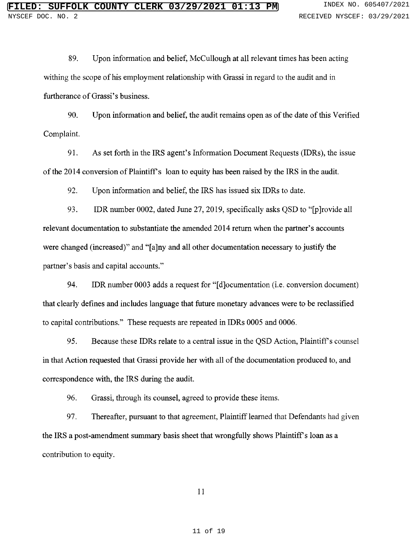89. Upon information and belief, McCullough at all relevant times has been acting withing the scope of his employment relationship with Grassi in regard to the audit and in furtherance of Grassi's business.

90. Upon information and belief, the audit remains open as of the date of this Verified Complaint.

91. As set forth in the IRS agent's Information Document Requests (IDRs), the issue of the 2014 conversion of Plaintiff's loan to equity has been raised by the IRS in the audit.

92. Upon information and belief, the IRS has issued six IDRs to date.

93. IDR number 0002, dated June 27, 2019, specifically asks QSD to "[p]rovide all relevant documentation to substantiate the amended 2014 return when the partner's accounts were changed (increased)" and "[a]ny and all other documentation necessary to justify the partner's basis and capital accoun

94. IDR number 0003 adds a request for "[d]ocumentation (i.e. conversion document) that clearly defines and includes language that future monetary advances were to be reclassified to capital contributions." These requests are repeated in IDRs 0005 and 000

95. Because these IDRs relate to a central issue in the QSD Action, Plaintiff's counsel in that Action requested that Grassi provide her with all of the documentation produced to, and correspondence with, the IRS during the audit.

96. Grassi, through its counsel, agreed to provide these items.

97. Thereafter, pursuant to that agreement, Plaintiff learned that Defendants had given the IRS a post-amendment summary basis sheet that wrongfully shows Plaintiff's loan as a contribution to equity.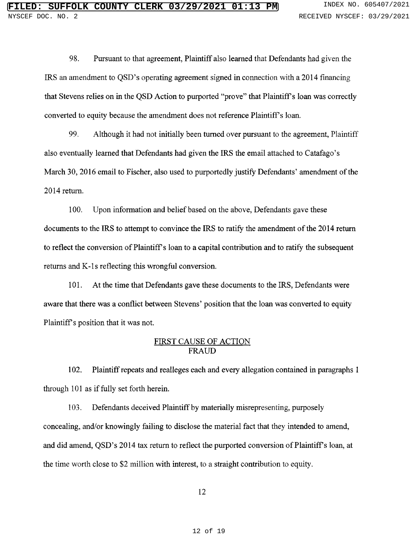98. Pursuant to that agreement, Plaintiff also learned that Defendants had given the IRS an amendment to QSD's operating agreement signed in connection with a 2014 financing that Stevens relies on in the QSD Action to purported "prove" that Plaintiff's loan was correctly converted to equity because the amendment does not reference Plaintiff's loan.

99. Although it had not initially been turned over pursuant to the agreement, Plaintiff also eventually learned that Defendants had given the IRS the email attached to Catafago's March 30, 2016 email to Fischer, also used to purportedly justify Defendants' amendment of th 2014 return.

100. Upon information and belief based on the above, Defendants gave these documents to the IRS to attempt to convince the IRS to ratify the amendment of the 2014 return to reflect the conversion of Plaintiff's loan to a capital contribution and to ratify the subsequent returns and K-1s reflecting this wrongful conversion.

101. At the time that Defendants gave these documents to the IRS, Defendants were aware that there was a conflict between Stevens' position that the loan was converted to equi Plaintiff's position that it was not.

## <u>FIRST CAUSE OF ACTIO</u> FRAUD

102. Plaintiff repeats and realleges each and every allegation contained in paragraphs 1 through 101 as if fully set forth herein.

103. Defendants deceived Plaintiff by materially misrepresenting, purposely concealing, and/or knowingly failing to disclose the material fact that they intended to amend, and did amend, QSD's 2014 tax return to reflect the purported conversion of Plaintiff's loan, at the time worth close to \$2 million with interest, to a straight contribution to equity.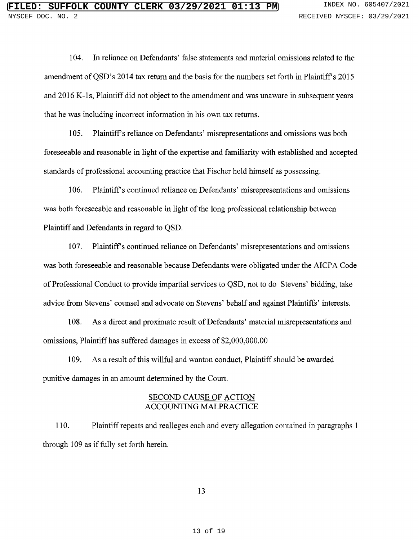104. In reliance on Defendants' false statements and material omissions related to the amendment of QSD's 2014 tax return and the basis for the numbers set forth in Plaintiff's 2015 and 2016 K-1s, Plaintiff did not object to the amendment and was unaware in subsequent years that he was including incorrect information in his own tax returns.

105. Plaintiff's reliance on Defendants' misrepresentations and omissions was both foreseeable and reasonable in light of the expertise and familiarity with established and accepted standards of professional accounting practice that Fischer held himself as possessing.

106. Plaintiff's continued reliance on Defendants' misrepresentations and omissiwas both foreseeable and reasonable in light of the long professional relationship between Plaintiff and Defendants in regard to QSD.

107. Plaintiff's continued reliance on Defendants' misrepresentations and omissi was both foreseeable and reasonable because Defendants were obligated under the AICPA Code of Professional Conduct to provide impartial services to QSD, not to do Stevens' bidding, tak advice from Stevens' counsel and advocate on Stevens' behalf and against Plaintiffs' interest

108. As a direct and proximate result of Defendants' material misrepresentations and omissions, Plaintiff has suffered damages in excess of \$2,000,000.00

109. As a result of this willful and wanton conduct, Plaintiff should be awarded punitive damages in an amount determined by the Court.

## **SECOND CAUSE OF ACTION** ACCOUNTING MALPRACTICE

110. Plaintiff repeats and realleges each and every allegation contained in paragraphs 1 through 109 as if fully set forth herein.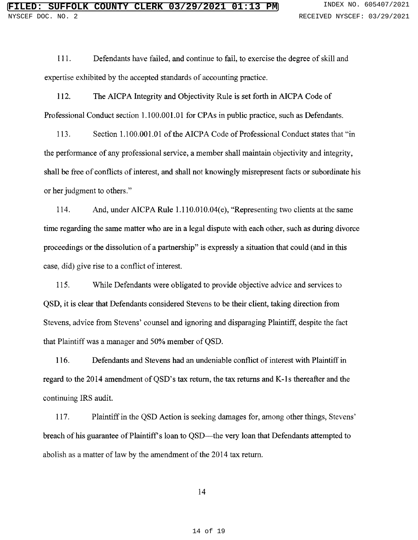111. Defendants have failed, and continue to fail, to exercise the degree of skill and expertise exhibited by the accepted standards of accounting practice.

112. The AICPA Integrity and Objectivity Rule is set forth in AICPA Code of Professional Conduct section 1.100.001.01 for CPAs in public practice, such as Defendants.

113. Section 1.100.001.01 of the AICPA Code of Professional Conduct states that "in the performance of any professional service, a member shall maintain objectivity and integrity, shall be free of conflicts of interest, and shall not knowingly misrepresent facts or subordinate his or her judgment to other

114. And, under AICPA Rule 1.110.010.04(e), "Representing two clients at the same time regarding the same matter who are in a legal dispute with each other, such as during divorce proceedings or the dissolution of a partnership" is expressly a situation that could (and in thi case, did) give rise to a conflict of interest.

115. While Defendants were obligated to provide objective advice and services to QSD, it is clear that Defendants considered Stevens to be their client, taking direction from Stevens, advice from Stevens' counsel and ignoring and disparaging Plaintiff, despite the fact that Plaintiff was a manager and 50% member of QSD.

116. Defendants and Stevens had an undeniable conflict of interest with Plaintiff in regard to the 2014 amendment of QSD's tax return, the tax returns and K-1s thereafter and the continuing IRS audit.

117. Plaintiff in the QSD Action is seeking damages for, among other things, Stever breach of his guarantee of Plaintiff's loan to QSD—the very loan that Defendants attempted to abolish as a matter of law by the amendment of the 2014 tax return.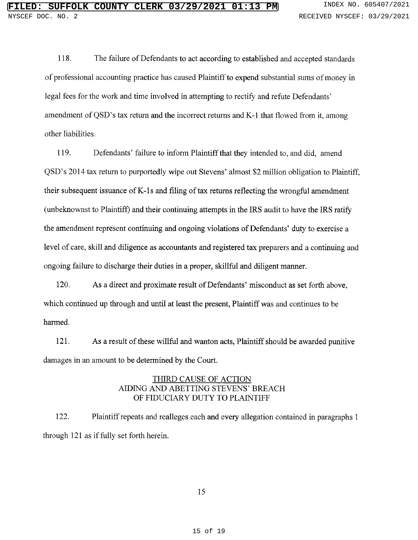118. The failure of Defendants to act according to established and accepted standards of professional accounting practice has caused Plaintiff to expend substantial sums of money in legal fees for the work and time involved in attempting to rectify and refute Defendants' amendment of QSD's tax return and the incorrect returns and K-1 that flowed from it, among other liabilities.

119. Defendants' failure to inform Plaintiff that they intended to, and did, amen QSD's 2014 tax return to purportedly wipe out Stevens' almost \$2 million obligation to Plain their subsequent issuance of K-1s and filing of tax returns reflecting the wrongful amendment (unbeknownst to Plaintiff) and their continuing attempts in the IRS audit to have the IRS ratify the amendment represent continuing and ongoing violations of Defendants' duty to exercise a level of care, skill and diligence as accountants and registered tax preparers and <sup>a</sup> continuing and ongoing failure to discharge their duties in a proper, skillful and diligent manner.

120. As a direct and proximate result of Defendants' misconduct as set forth above, which continued up through and until at least the present, Plaintiff was and continues to be harmed.

121. As a result of these willful and wanton acts, Plaintiff should be awarded punitive damages in an amount to be determined by the Court.

## THIRD CAUSE OF ACTION AIDING AND ABETTING STEVENS' BREACH OF FIDUCIARY DUTY TO PLAINTIFF

122. Plaintiff repeats and realleges each and every allegation contained in paragraphs <sup>1</sup> through 121 as if fully set forth herein.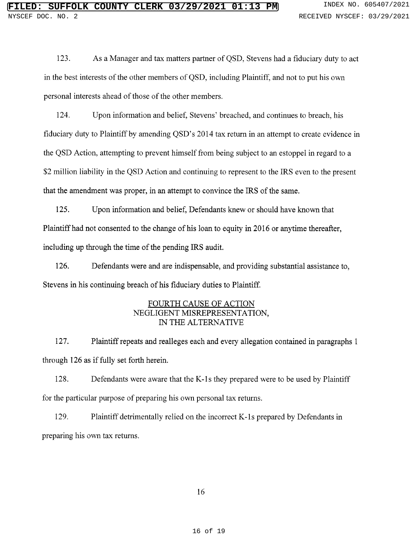123. As <sup>a</sup> Manager and tax matters partner of QSD, Stevens had <sup>a</sup> fiduciary duty to act in the best interests of the other members of QSD, including Plaintiff, and not to put his own personal interests ahead of those of the other members.

124. Upon information and belief, Stevens' breached, and continues to breach, his fiduciary duty to Plaintiff by amending QSD's 2014 tax return in an attempt to create evidence in the QSD Action, attempting to prevent himself from being subject to an estoppel in regard to <sup>a</sup> \$2 million liability in the QSD Action and continuing to represent to the IRS even to the present that the amendment was proper, in an attempt to convince the IRS of the same.

125. Upon information and belief, Defendants knew or should have known that Plaintiff had not consented to the change of his loan to equity in 2016 or anytime thereafter, including up through the time of the pending IRS audit.

126. Defendants were and are indispensable, and providing substantial assistance to, Stevens in his continuing breach of his fiduciary duties to Plaintiff.

# FOURTH CAUSE OF ACTION NEGLIGENT MISREPRESENTATION, IN THE ALTERNATIVE

127. Plaintiff repeats and realleges each and every allegation contained in paragraphs 1 through 126 as if fully set forth herein.

128. Defendants were aware that the K-Is they prepared were to be used by Plaintiff for the particular purpose of preparing his own personal tax returns.

129. Plaintiff detrimentally relied on the incorrect K-1s prepared by Defendants in preparing his own tax returns.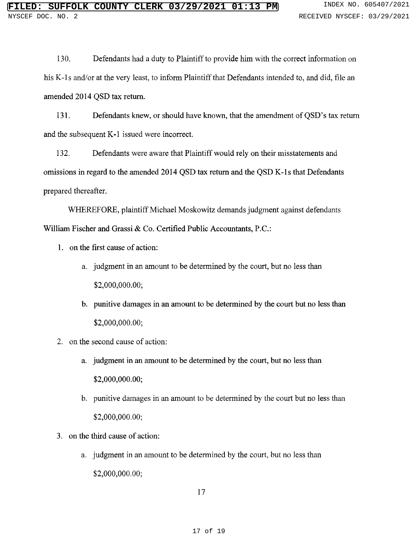130. Defendants had a duty to Plaintiff to provide him with the correct information on his K-1s and/or at the very least, to inform Plaintiff that Defendants intended to, and did, file an amended 2014 QSD tax return.

131. Defendants knew, or should have known, that the amendment of QSD's tax return and the subsequent K-1 issued were incorrect.

132. Defendants were aware that Plaintiff would rely on their misstatements and omissions in regard to the amended 2014 QSD tax return and the QSD K-1s that Defendants prepared thereafter.

WHEREFORE, plaintiff Michael Moskowitz demands judgment against defendants William Fischer and Grassi & Co. Certified Public Accountants, P.C.:

- 1. on the first cause of action:
	- a. judgment in an amount to be determined by the court, but no less than \$2,000,000.00;
	- b. punitive damages in an amount to be determined by the court but no less than \$2,000,000.00;
- 2. on the second cause of action:
	- a. judgment in an amount to be determined by the court, but no less than \$2,000,000.00;
	- b. punitive damages in an amount to be determined by the court but no less than \$2,000,000.00;
- 3. on the third cause of action:
	- a. judgment in an amount to be determined by the court, but no less than \$2,000,000.00;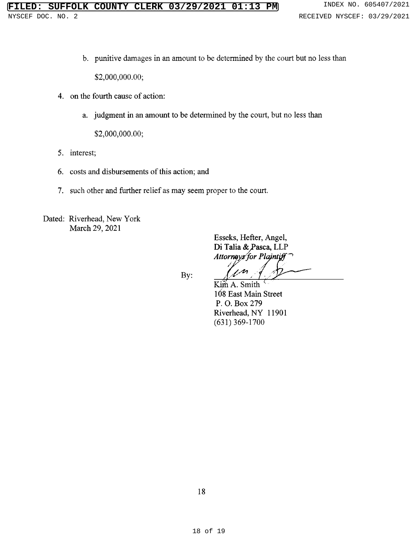b. punitive damages in an amount to be determined by the court but no less than

\$2,000,000.00;

- 4. on the fourth cause of action:
	- a. judgment in an amount to be determined by the court, but no less than

\$2,000,000.00;

- 5. interest;
- 6. costs and disbursements of this action; and
- 7. such other and further relief as may seem proper to the court.

Dated: Riverhead, New York March 29, 2021

> Esseks, Hefter, Angel, Di Talia & Pasca, LLP Attorneys for Plain

By:

Kim A. Smith 168 East Main Street P. O. Box 279 Riverhead, NY <sup>11901</sup> (631) 369-1700